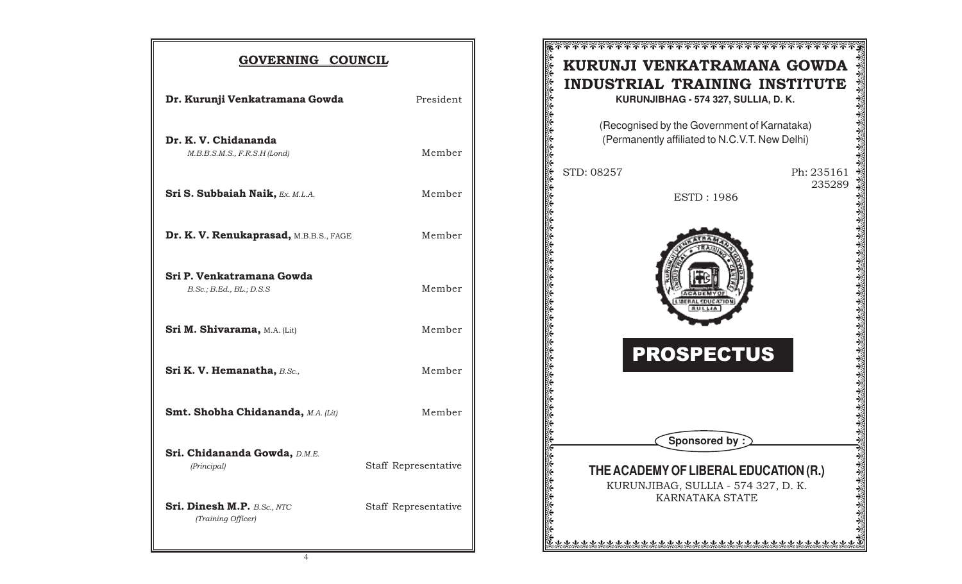| GOVERNING COUNCIL                                                |                      |  |  |
|------------------------------------------------------------------|----------------------|--|--|
| Dr. Kurunji Venkatramana Gowda                                   | President            |  |  |
| Dr. K. V. Chidananda<br>M.B.B.S.M.S., F.R.S.H (Lond)             | Member               |  |  |
| <b>Sri S. Subbaiah Naik, Ex. M.L.A.</b>                          | Member               |  |  |
| Dr. K. V. Renukaprasad, M.B.B.S., FAGE                           | Member               |  |  |
| Sri P. Venkatramana Gowda<br>$B.$ Sc.; $B.$ Ed., $BL$ .; $D.S.S$ | Member               |  |  |
| Sri M. Shivarama, M.A. (Lit)                                     | Member               |  |  |
| Sri K. V. Hemanatha, B.Sc.,                                      | Member               |  |  |
| <b>Smt. Shobha Chidananda, M.A. (Lit)</b>                        | Member               |  |  |
| Sri. Chidananda Gowda, D.M.E.<br>(Principal)                     | Staff Representative |  |  |
| <b>Sri. Dinesh M.P.</b> B.Sc., NTC<br>(Training Officer)         | Staff Representative |  |  |

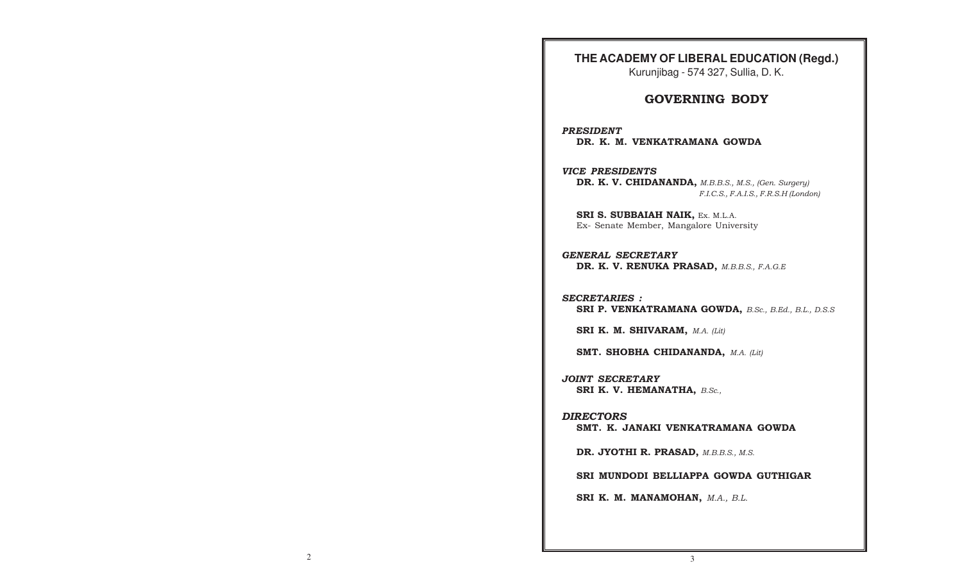## **THE ACADEMY OF LIBERAL EDUCATION (Regd.)**

Kurunjibag - 574 327, Sullia, D. K.

## GOVERNING BODY

PRESIDENT DR. K. M. VENKATRAMANA GOWDA

#### VICE PRESIDENTS

DR. K. V. CHIDANANDA, M.B.B.S., M.S., (Gen. Surgery) F.I.C.S., F.A.I.S., F.R.S.H (London)

SRI S. SUBBAIAH NAIK, Ex. M.L.A. Ex- Senate Member, Mangalore University

GENERAL SECRETARY DR. K. V. RENUKA PRASAD, M.B.B.S., F.A.G.E

SECRETARIES : SRI P. VENKATRAMANA GOWDA, B.Sc., B.Ed., B.L., D.S.S

SRI K. M. SHIVARAM, M.A. (Lit)

SMT. SHOBHA CHIDANANDA, M.A. (Lit)

JOINT SECRETARY SRI K. V. HEMANATHA, B.Sc.,

#### DIRECTORS

SMT. K. JANAKI VENKATRAMANA GOWDA

DR. JYOTHI R. PRASAD, M.B.B.S., M.S.

SRI MUNDODI BELLIAPPA GOWDA GUTHIGAR

SRI K. M. MANAMOHAN, M.A., B.L.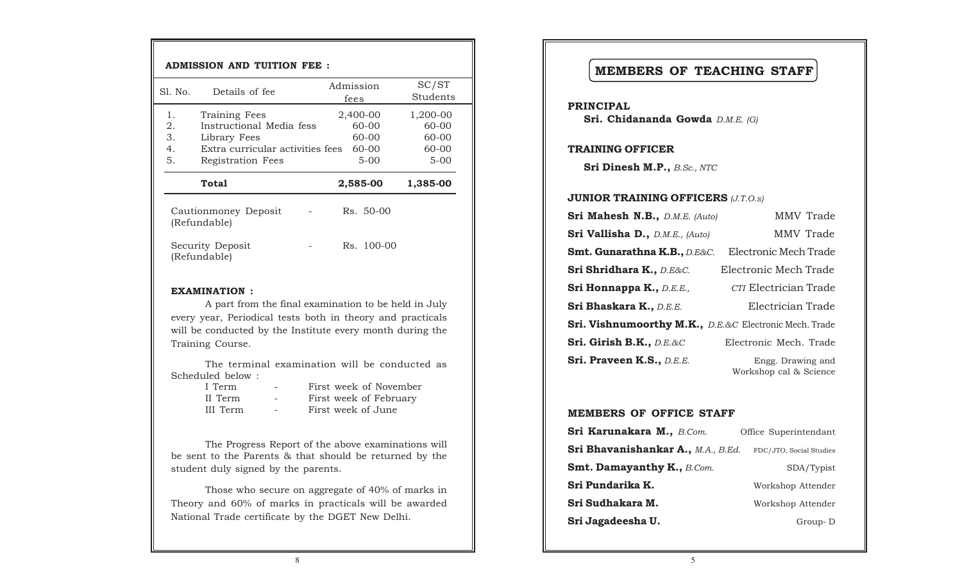| <b>ADMISSION AND TUITION FEE:</b> |                            |                                                                                                                    |                   |                                               |                                               |
|-----------------------------------|----------------------------|--------------------------------------------------------------------------------------------------------------------|-------------------|-----------------------------------------------|-----------------------------------------------|
|                                   | S1. No.                    | Details of fee                                                                                                     | Admission<br>fees |                                               | SC/ST<br>Students                             |
|                                   | 1.<br>2.<br>3.<br>4.<br>5. | Training Fees<br>Instructional Media fess<br>Library Fees<br>Extra curricular activities fees<br>Registration Fees |                   | 2,400-00<br>60-00<br>60-00<br>60-00<br>$5-00$ | 1,200-00<br>60-00<br>60-00<br>60-00<br>$5-00$ |
|                                   |                            | Total                                                                                                              |                   | 2,585-00                                      | 1,385-00                                      |
|                                   |                            | Cautionmoney Deposit<br>(Refundable)                                                                               |                   | Rs. 50-00                                     |                                               |
|                                   |                            | Security Deposit<br>(Refundable)                                                                                   |                   | Rs. 100-00                                    |                                               |
|                                   |                            |                                                                                                                    |                   |                                               |                                               |

#### EXAMINATION :

A part from the final examination to be held in July every year, Periodical tests both in theory and practicals will be conducted by the Institute every month during the Training Course.

The terminal examination will be conducted as Scheduled below :

| I Term   | $\equiv$ | First week of November |
|----------|----------|------------------------|
| II Term  |          | First week of February |
| III Term | $\sim$   | First week of June     |

The Progress Report of the above examinations will be sent to the Parents & that should be returned by the student duly signed by the parents.

Those who secure on aggregate of 40% of marks in Theory and 60% of marks in practicals will be awarded National Trade certificate by the DGET New Delhi.

# MEMBERS OF TEACHING STAFF

PRINCIPAL Sri. Chidananda Gowda D.M.E. (G)

#### TRAINING OFFICER

Sri Dinesh M.P., B.Sc., NTC

## **JUNIOR TRAINING OFFICERS (J.T.O.s)**

| Sri Mahesh N.B., D.M.E. (Auto)                                    | <b>MMV</b> Trade                            |  |  |  |
|-------------------------------------------------------------------|---------------------------------------------|--|--|--|
| Sri Vallisha D., D.M.E., (Auto)                                   | MMV Trade                                   |  |  |  |
| Smt. Gunarathna K.B., D.E&C.                                      | Electronic Mech Trade                       |  |  |  |
| Sri Shridhara K., D.E&C.                                          | Electronic Mech Trade                       |  |  |  |
| Sri Honnappa K., D.E.E.,                                          | CTI Electrician Trade                       |  |  |  |
| Sri Bhaskara K., D.E.E.                                           | Electrician Trade                           |  |  |  |
| <b>Sri. Vishnumoorthy M.K., D.E.&amp;C Electronic Mech. Trade</b> |                                             |  |  |  |
| Sri. Girish B.K., D.E.&C                                          | Electronic Mech. Trade                      |  |  |  |
| Sri. Praveen K.S., D.E.E.                                         | Engg. Drawing and<br>Workshop cal & Science |  |  |  |

#### MEMBERS OF OFFICE STAFF

| Sri Karunakara M., B.Com.<br>Office Superintendant |                         |
|----------------------------------------------------|-------------------------|
| Sri Bhavanishankar A., M.A., B.Ed.                 | FDC/JTO, Social Studies |
| <b>Smt. Damayanthy K., B.Com.</b>                  | SDA/Typist              |
| Sri Pundarika K.                                   | Workshop Attender       |
| Sri Sudhakara M.                                   | Workshop Attender       |
| Sri Jagadeesha U.                                  | Group-D                 |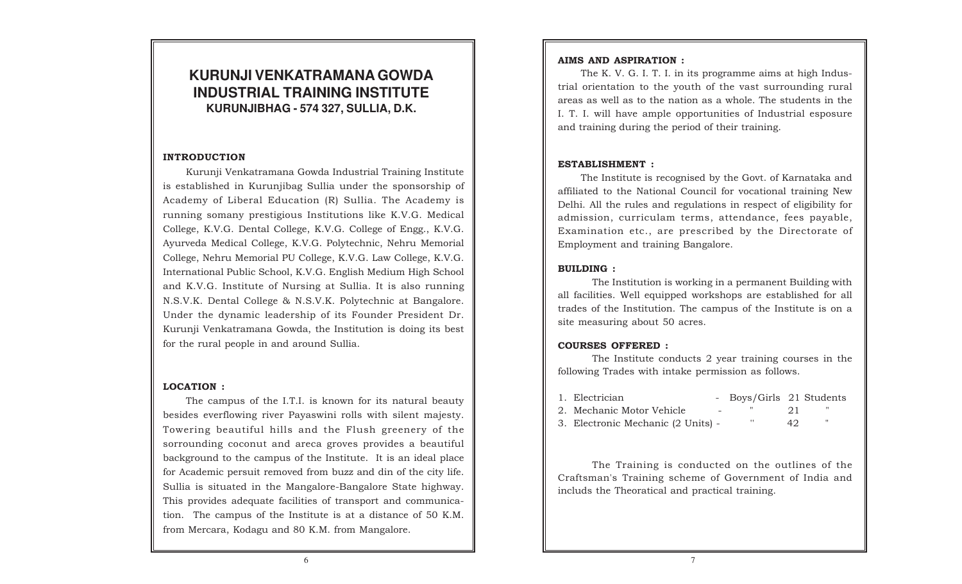# **KURUNJI VENKATRAMANA GOWDA INDUSTRIAL TRAINING INSTITUTE KURUNJIBHAG - 574 327, SULLIA, D.K.**

#### INTRODUCTION

Kurunji Venkatramana Gowda Industrial Training Institute is established in Kurunjibag Sullia under the sponsorship of Academy of Liberal Education (R) Sullia. The Academy is running somany prestigious Institutions like K.V.G. Medical College, K.V.G. Dental College, K.V.G. College of Engg., K.V.G. Ayurveda Medical College, K.V.G. Polytechnic, Nehru Memorial College, Nehru Memorial PU College, K.V.G. Law College, K.V.G. International Public School, K.V.G. English Medium High School and K.V.G. Institute of Nursing at Sullia. It is also running N.S.V.K. Dental College & N.S.V.K. Polytechnic at Bangalore. Under the dynamic leadership of its Founder President Dr. Kurunji Venkatramana Gowda, the Institution is doing its best for the rural people in and around Sullia.

### LOCATION :

The campus of the I.T.I. is known for its natural beauty besides everflowing river Payaswini rolls with silent majesty. Towering beautiful hills and the Flush greenery of the sorrounding coconut and areca groves provides a beautiful background to the campus of the Institute. It is an ideal place for Academic persuit removed from buzz and din of the city life. Sullia is situated in the Mangalore-Bangalore State highway. This provides adequate facilities of transport and communication. The campus of the Institute is at a distance of 50 K.M. from Mercara, Kodagu and 80 K.M. from Mangalore.

#### AIMS AND ASPIRATION :

The K. V. G. I. T. I. in its programme aims at high Industrial orientation to the youth of the vast surrounding rural areas as well as to the nation as a whole. The students in the I. T. I. will have ample opportunities of Industrial esposure and training during the period of their training.

### ESTABLISHMENT :

The Institute is recognised by the Govt. of Karnataka and affiliated to the National Council for vocational training New Delhi. All the rules and regulations in respect of eligibility for admission, curriculam terms, attendance, fees payable, Examination etc., are prescribed by the Directorate of Employment and training Bangalore.

#### BUILDING :

The Institution is working in a permanent Building with all facilities. Well equipped workshops are established for all trades of the Institution. The campus of the Institute is on a site measuring about 50 acres.

### COURSES OFFERED :

The Institute conducts 2 year training courses in the following Trades with intake permission as follows.

| 1. Electrician              | Boys/Girls 21 Students |  |  |
|-----------------------------|------------------------|--|--|
| 2. Mechanic Motor Vehicle . |                        |  |  |

3. Electronic Mechanic (2 Units) - '' 42 "

The Training is conducted on the outlines of the Craftsman's Training scheme of Government of India and includs the Theoratical and practical training.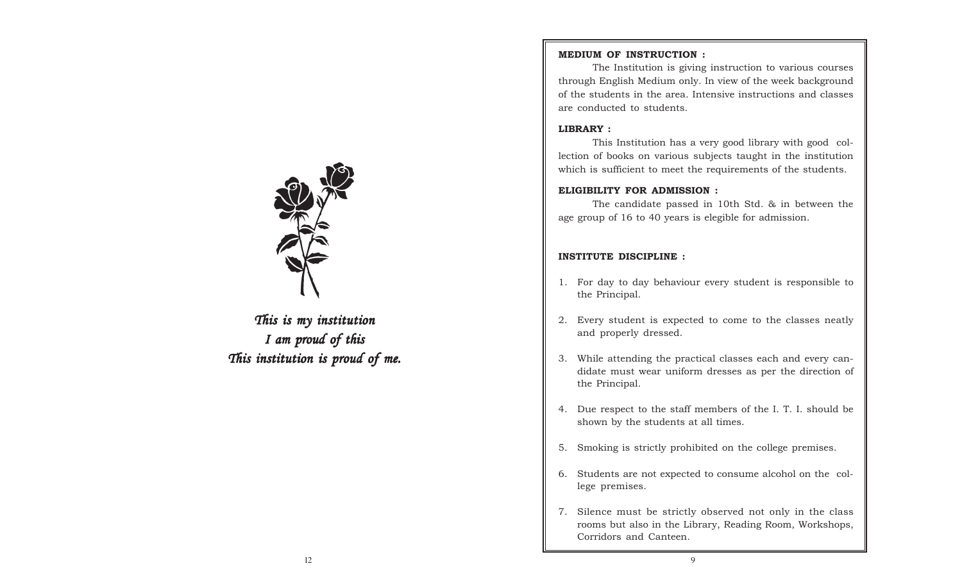

This is my institution I am proud of this This institution is proud of me.

### MEDIUM OF INSTRUCTION :

The Institution is giving instruction to various courses through English Medium only. In view of the week background of the students in the area. Intensive instructions and classes are conducted to students.

#### LIBRARY :

This Institution has a very good library with good collection of books on various subjects taught in the institution which is sufficient to meet the requirements of the students.

#### ELIGIBILITY FOR ADMISSION :

The candidate passed in 10th Std. & in between the age group of 16 to 40 years is elegible for admission.

### INSTITUTE DISCIPLINE :

- 1. For day to day behaviour every student is responsible to the Principal.
- 2. Every student is expected to come to the classes neatly and properly dressed.
- 3. While attending the practical classes each and every candidate must wear uniform dresses as per the direction of the Principal.
- 4. Due respect to the staff members of the I. T. I. should be shown by the students at all times.
- 5. Smoking is strictly prohibited on the college premises.
- 6. Students are not expected to consume alcohol on the college premises.
- 7. Silence must be strictly observed not only in the class rooms but also in the Library, Reading Room, Workshops, Corridors and Canteen.